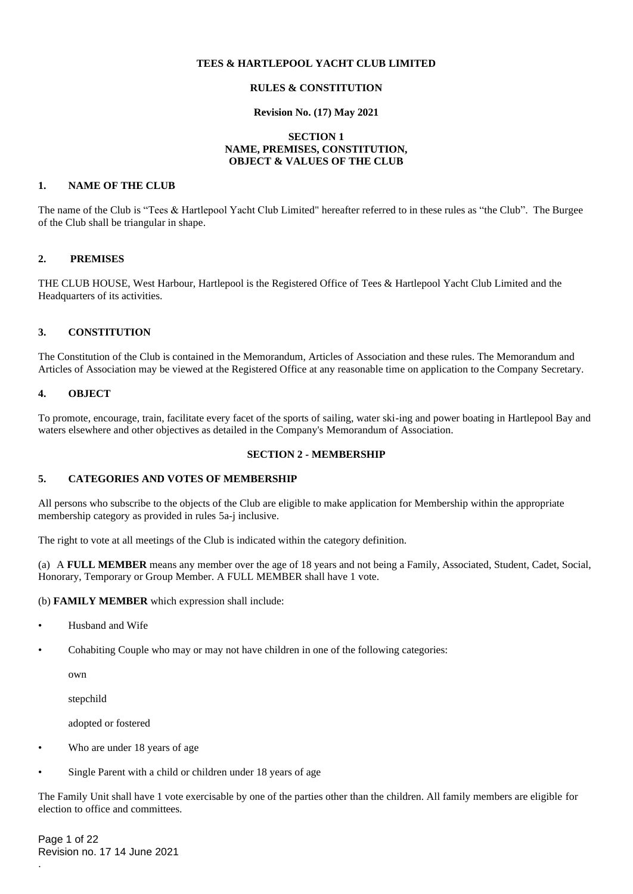## **TEES & HARTLEPOOL YACHT CLUB LIMITED**

# **RULES & CONSTITUTION**

#### **Revision No. (17) May 2021**

#### **SECTION 1 NAME, PREMISES, CONSTITUTION, OBJECT & VALUES OF THE CLUB**

#### **1. NAME OF THE CLUB**

The name of the Club is "Tees & Hartlepool Yacht Club Limited" hereafter referred to in these rules as "the Club". The Burgee of the Club shall be triangular in shape.

#### **2. PREMISES**

THE CLUB HOUSE, West Harbour, Hartlepool is the Registered Office of Tees & Hartlepool Yacht Club Limited and the Headquarters of its activities.

# **3. CONSTITUTION**

The Constitution of the Club is contained in the Memorandum, Articles of Association and these rules. The Memorandum and Articles of Association may be viewed at the Registered Office at any reasonable time on application to the Company Secretary.

#### **4. OBJECT**

To promote, encourage, train, facilitate every facet of the sports of sailing, water ski-ing and power boating in Hartlepool Bay and waters elsewhere and other objectives as detailed in the Company's Memorandum of Association.

#### **SECTION 2 - MEMBERSHIP**

#### **5. CATEGORIES AND VOTES OF MEMBERSHIP**

All persons who subscribe to the objects of the Club are eligible to make application for Membership within the appropriate membership category as provided in rules 5a-j inclusive.

The right to vote at all meetings of the Club is indicated within the category definition.

(a) A **FULL MEMBER** means any member over the age of 18 years and not being a Family, Associated, Student, Cadet, Social, Honorary, Temporary or Group Member. A FULL MEMBER shall have 1 vote.

#### (b) **FAMILY MEMBER** which expression shall include:

- Husband and Wife
- Cohabiting Couple who may or may not have children in one of the following categories:

own

stepchild

adopted or fostered

- Who are under 18 years of age
- Single Parent with a child or children under 18 years of age

The Family Unit shall have 1 vote exercisable by one of the parties other than the children. All family members are eligible for election to office and committees.

Page 1 of 22 Revision no. 17 14 June 2021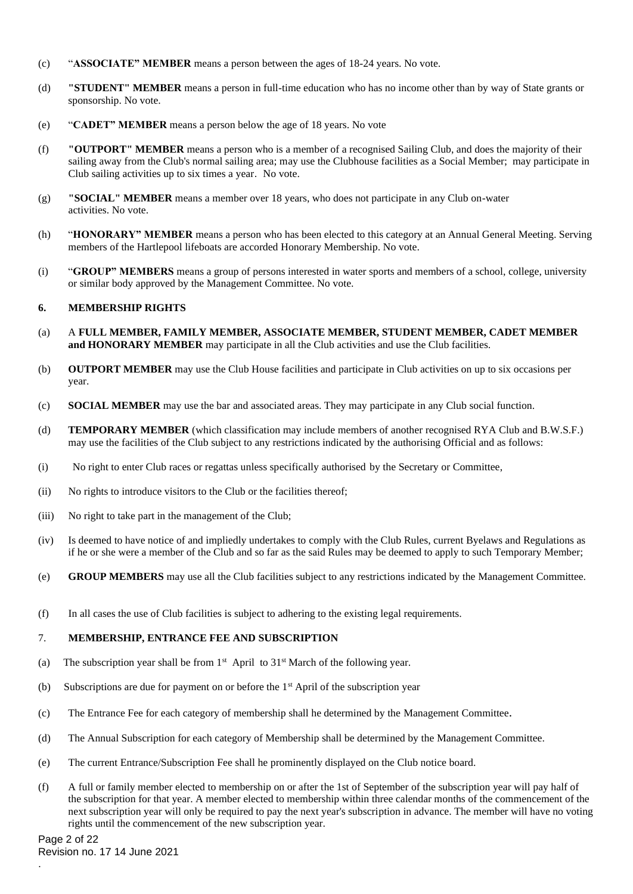- (c) "**ASSOCIATE" MEMBER** means a person between the ages of 18-24 years. No vote.
- (d) **"STUDENT" MEMBER** means a person in full-time education who has no income other than by way of State grants or sponsorship. No vote.
- (e) "**CADET" MEMBER** means a person below the age of 18 years. No vote
- (f) **"OUTPORT" MEMBER** means a person who is a member of a recognised Sailing Club, and does the majority of their sailing away from the Club's normal sailing area; may use the Clubhouse facilities as a Social Member; may participate in Club sailing activities up to six times a year. No vote.
- (g) **"SOCIAL" MEMBER** means a member over 18 years, who does not participate in any Club on-water activities. No vote.
- (h) "**HONORARY" MEMBER** means a person who has been elected to this category at an Annual General Meeting. Serving members of the Hartlepool lifeboats are accorded Honorary Membership. No vote.
- (i) "**GROUP" MEMBERS** means a group of persons interested in water sports and members of a school, college, university or similar body approved by the Management Committee. No vote.

## **6. MEMBERSHIP RIGHTS**

- (a) A **FULL MEMBER, FAMILY MEMBER, ASSOCIATE MEMBER, STUDENT MEMBER, CADET MEMBER and HONORARY MEMBER** may participate in all the Club activities and use the Club facilities.
- (b) **OUTPORT MEMBER** may use the Club House facilities and participate in Club activities on up to six occasions per year.
- (c) **SOCIAL MEMBER** may use the bar and associated areas. They may participate in any Club social function.
- (d) **TEMPORARY MEMBER** (which classification may include members of another recognised RYA Club and B.W.S.F.) may use the facilities of the Club subject to any restrictions indicated by the authorising Official and as follows:
- (i) No right to enter Club races or regattas unless specifically authorised by the Secretary or Committee,
- (ii) No rights to introduce visitors to the Club or the facilities thereof;
- (iii) No right to take part in the management of the Club;
- (iv) Is deemed to have notice of and impliedly undertakes to comply with the Club Rules, current Byelaws and Regulations as if he or she were a member of the Club and so far as the said Rules may be deemed to apply to such Temporary Member;
- (e) **GROUP MEMBERS** may use all the Club facilities subject to any restrictions indicated by the Management Committee.
- (f) In all cases the use of Club facilities is subject to adhering to the existing legal requirements.

### 7. **MEMBERSHIP, ENTRANCE FEE AND SUBSCRIPTION**

- (a) The subscription year shall be from  $1<sup>st</sup>$  April to  $31<sup>st</sup>$  March of the following year.
- (b) Subscriptions are due for payment on or before the  $1<sup>st</sup>$  April of the subscription year
- (c) The Entrance Fee for each category of membership shall he determined by the Management Committee.
- (d) The Annual Subscription for each category of Membership shall be determined by the Management Committee.
- (e) The current Entrance/Subscription Fee shall he prominently displayed on the Club notice board.
- (f) A full or family member elected to membership on or after the 1st of September of the subscription year will pay half of the subscription for that year. A member elected to membership within three calendar months of the commencement of the next subscription year will only be required to pay the next year's subscription in advance. The member will have no voting rights until the commencement of the new subscription year.

Page 2 of 22 Revision no. 17 14 June 2021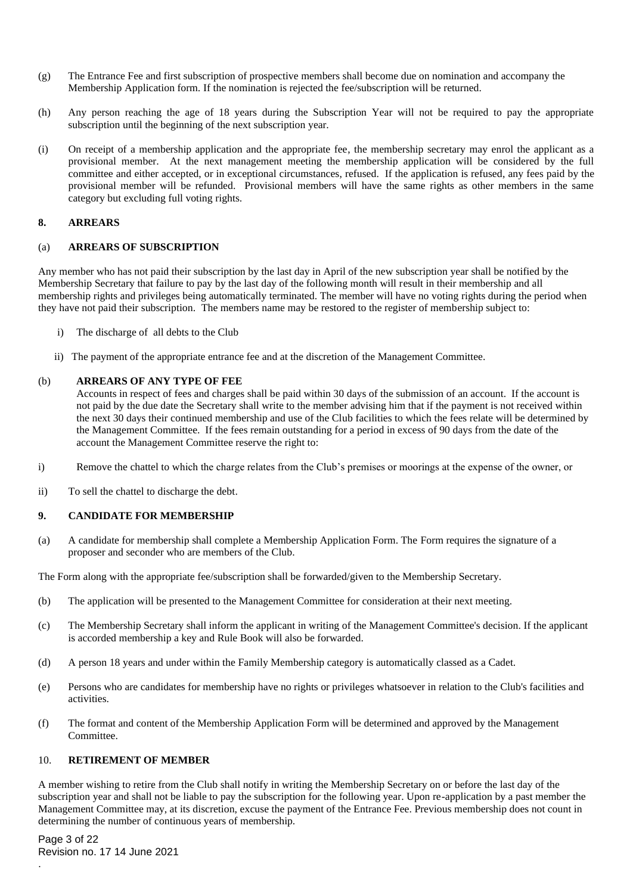- (g) The Entrance Fee and first subscription of prospective members shall become due on nomination and accompany the Membership Application form. If the nomination is rejected the fee/subscription will be returned.
- (h) Any person reaching the age of 18 years during the Subscription Year will not be required to pay the appropriate subscription until the beginning of the next subscription year.
- (i) On receipt of a membership application and the appropriate fee, the membership secretary may enrol the applicant as a provisional member. At the next management meeting the membership application will be considered by the full committee and either accepted, or in exceptional circumstances, refused. If the application is refused, any fees paid by the provisional member will be refunded. Provisional members will have the same rights as other members in the same category but excluding full voting rights.

#### **8. ARREARS**

#### (a) **ARREARS OF SUBSCRIPTION**

Any member who has not paid their subscription by the last day in April of the new subscription year shall be notified by the Membership Secretary that failure to pay by the last day of the following month will result in their membership and all membership rights and privileges being automatically terminated. The member will have no voting rights during the period when they have not paid their subscription. The members name may be restored to the register of membership subject to:

- i) The discharge of all debts to the Club
- ii) The payment of the appropriate entrance fee and at the discretion of the Management Committee.

#### (b) **ARREARS OF ANY TYPE OF FEE**

Accounts in respect of fees and charges shall be paid within 30 days of the submission of an account. If the account is not paid by the due date the Secretary shall write to the member advising him that if the payment is not received within the next 30 days their continued membership and use of the Club facilities to which the fees relate will be determined by the Management Committee. If the fees remain outstanding for a period in excess of 90 days from the date of the account the Management Committee reserve the right to:

- i) Remove the chattel to which the charge relates from the Club's premises or moorings at the expense of the owner, or
- ii) To sell the chattel to discharge the debt.

### **9. CANDIDATE FOR MEMBERSHIP**

(a) A candidate for membership shall complete a Membership Application Form. The Form requires the signature of a proposer and seconder who are members of the Club.

The Form along with the appropriate fee/subscription shall be forwarded/given to the Membership Secretary.

- (b) The application will be presented to the Management Committee for consideration at their next meeting.
- (c) The Membership Secretary shall inform the applicant in writing of the Management Committee's decision. If the applicant is accorded membership a key and Rule Book will also be forwarded.
- (d) A person 18 years and under within the Family Membership category is automatically classed as a Cadet.
- (e) Persons who are candidates for membership have no rights or privileges whatsoever in relation to the Club's facilities and activities.
- (f) The format and content of the Membership Application Form will be determined and approved by the Management Committee.

### 10. **RETIREMENT OF MEMBER**

A member wishing to retire from the Club shall notify in writing the Membership Secretary on or before the last day of the subscription year and shall not be liable to pay the subscription for the following year. Upon re-application by a past member the Management Committee may, at its discretion, excuse the payment of the Entrance Fee. Previous membership does not count in determining the number of continuous years of membership.

Page 3 of 22 Revision no. 17 14 June 2021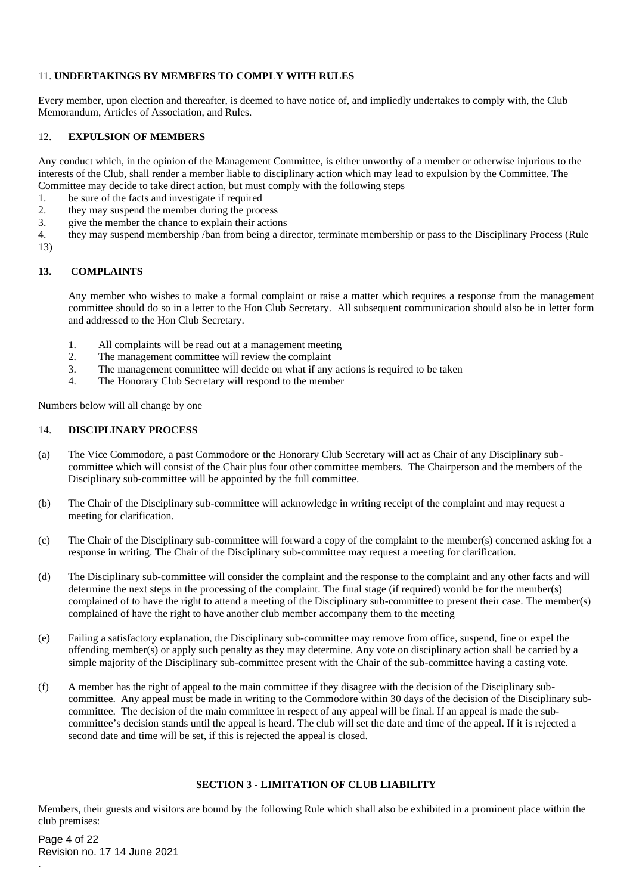# 11. **UNDERTAKINGS BY MEMBERS TO COMPLY WITH RULES**

Every member, upon election and thereafter, is deemed to have notice of, and impliedly undertakes to comply with, the Club Memorandum, Articles of Association, and Rules.

# 12. **EXPULSION OF MEMBERS**

Any conduct which, in the opinion of the Management Committee, is either unworthy of a member or otherwise injurious to the interests of the Club, shall render a member liable to disciplinary action which may lead to expulsion by the Committee. The Committee may decide to take direct action, but must comply with the following steps

- 1. be sure of the facts and investigate if required
- 2. they may suspend the member during the process
- 3. give the member the chance to explain their actions
- 4. they may suspend membership /ban from being a director, terminate membership or pass to the Disciplinary Process (Rule 13)

### **13. COMPLAINTS**

Any member who wishes to make a formal complaint or raise a matter which requires a response from the management committee should do so in a letter to the Hon Club Secretary. All subsequent communication should also be in letter form and addressed to the Hon Club Secretary.

- 1. All complaints will be read out at a management meeting
- 2. The management committee will review the complaint
- 3. The management committee will decide on what if any actions is required to be taken
- 4. The Honorary Club Secretary will respond to the member

Numbers below will all change by one

# 14. **DISCIPLINARY PROCESS**

- (a) The Vice Commodore, a past Commodore or the Honorary Club Secretary will act as Chair of any Disciplinary subcommittee which will consist of the Chair plus four other committee members. The Chairperson and the members of the Disciplinary sub-committee will be appointed by the full committee.
- (b) The Chair of the Disciplinary sub-committee will acknowledge in writing receipt of the complaint and may request a meeting for clarification.
- (c) The Chair of the Disciplinary sub-committee will forward a copy of the complaint to the member(s) concerned asking for a response in writing. The Chair of the Disciplinary sub-committee may request a meeting for clarification.
- (d) The Disciplinary sub-committee will consider the complaint and the response to the complaint and any other facts and will determine the next steps in the processing of the complaint. The final stage (if required) would be for the member(s) complained of to have the right to attend a meeting of the Disciplinary sub-committee to present their case. The member(s) complained of have the right to have another club member accompany them to the meeting
- (e) Failing a satisfactory explanation, the Disciplinary sub-committee may remove from office, suspend, fine or expel the offending member(s) or apply such penalty as they may determine. Any vote on disciplinary action shall be carried by a simple majority of the Disciplinary sub-committee present with the Chair of the sub-committee having a casting vote.
- (f) A member has the right of appeal to the main committee if they disagree with the decision of the Disciplinary subcommittee. Any appeal must be made in writing to the Commodore within 30 days of the decision of the Disciplinary subcommittee. The decision of the main committee in respect of any appeal will be final. If an appeal is made the subcommittee's decision stands until the appeal is heard. The club will set the date and time of the appeal. If it is rejected a second date and time will be set, if this is rejected the appeal is closed.

# **SECTION 3 - LIMITATION OF CLUB LIABILITY**

Members, their guests and visitors are bound by the following Rule which shall also be exhibited in a prominent place within the club premises:

Page 4 of 22 Revision no. 17 14 June 2021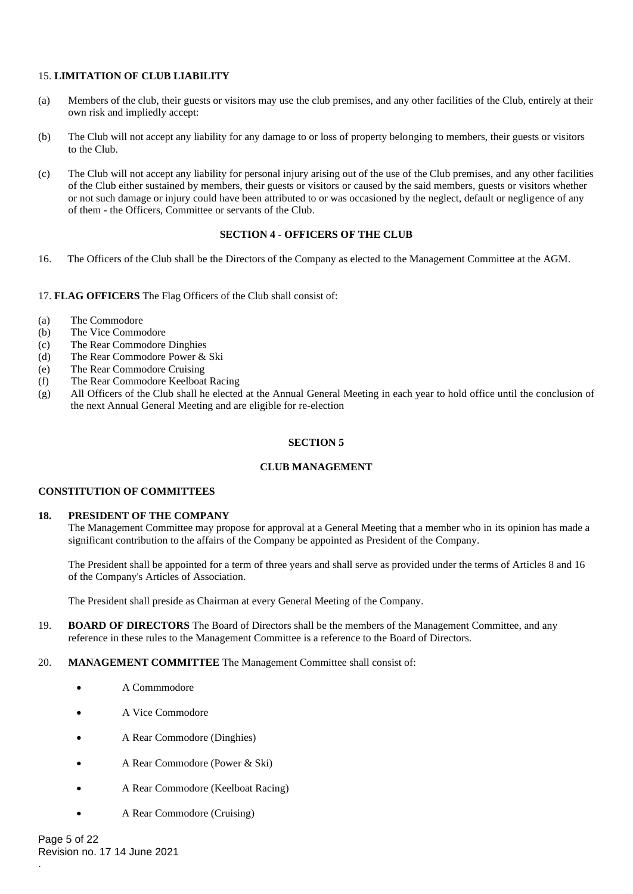# 15. **LIMITATION OF CLUB LIABILITY**

- (a) Members of the club, their guests or visitors may use the club premises, and any other facilities of the Club, entirely at their own risk and impliedly accept:
- (b) The Club will not accept any liability for any damage to or loss of property belonging to members, their guests or visitors to the Club.
- (c) The Club will not accept any liability for personal injury arising out of the use of the Club premises, and any other facilities of the Club either sustained by members, their guests or visitors or caused by the said members, guests or visitors whether or not such damage or injury could have been attributed to or was occasioned by the neglect, default or negligence of any of them - the Officers, Committee or servants of the Club.

### **SECTION 4 - OFFICERS OF THE CLUB**

16. The Officers of the Club shall be the Directors of the Company as elected to the Management Committee at the AGM.

17. **FLAG OFFICERS** The Flag Officers of the Club shall consist of:

- (a) The Commodore
- (b) The Vice Commodore
- (c) The Rear Commodore Dinghies
- (d) The Rear Commodore Power & Ski
- (e) The Rear Commodore Cruising
- (f) The Rear Commodore Keelboat Racing
- (g) All Officers of the Club shall he elected at the Annual General Meeting in each year to hold office until the conclusion of the next Annual General Meeting and are eligible for re-election

#### **SECTION 5**

### **CLUB MANAGEMENT**

### **CONSTITUTION OF COMMITTEES**

### **18. PRESIDENT OF THE COMPANY**

The Management Committee may propose for approval at a General Meeting that a member who in its opinion has made a significant contribution to the affairs of the Company be appointed as President of the Company.

The President shall be appointed for a term of three years and shall serve as provided under the terms of Articles 8 and 16 of the Company's Articles of Association.

The President shall preside as Chairman at every General Meeting of the Company.

- 19. **BOARD OF DIRECTORS** The Board of Directors shall be the members of the Management Committee, and any reference in these rules to the Management Committee is a reference to the Board of Directors.
- 20. **MANAGEMENT COMMITTEE** The Management Committee shall consist of:
	- A Commmodore
	- A Vice Commodore
	- A Rear Commodore (Dinghies)
	- A Rear Commodore (Power & Ski)
	- A Rear Commodore (Keelboat Racing)
	- A Rear Commodore (Cruising)

Page 5 of 22 Revision no. 17 14 June 2021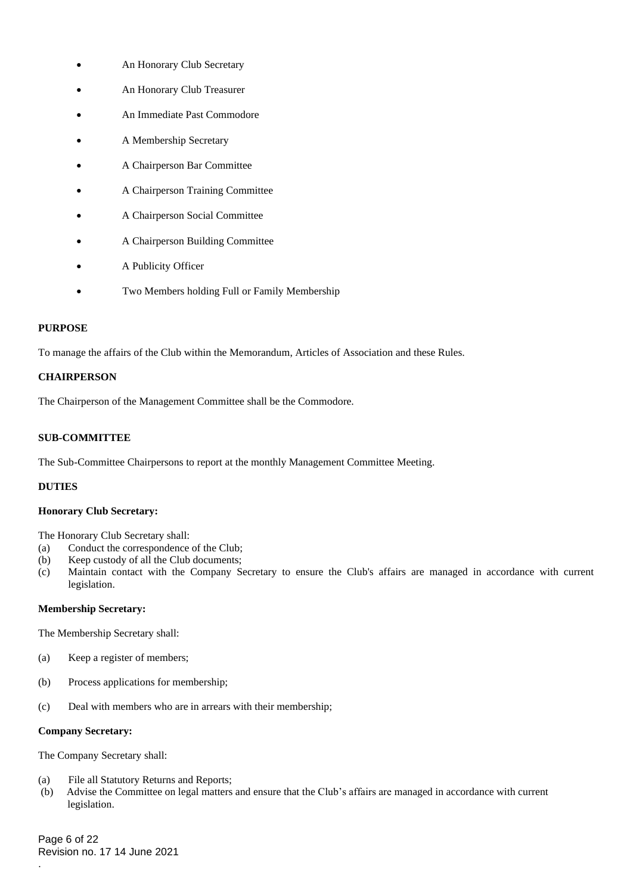- An Honorary Club Secretary
- An Honorary Club Treasurer
- An Immediate Past Commodore
- A Membership Secretary
- A Chairperson Bar Committee
- A Chairperson Training Committee
- A Chairperson Social Committee
- A Chairperson Building Committee
- A Publicity Officer
- Two Members holding Full or Family Membership

### **PURPOSE**

To manage the affairs of the Club within the Memorandum, Articles of Association and these Rules.

# **CHAIRPERSON**

The Chairperson of the Management Committee shall be the Commodore.

# **SUB-COMMITTEE**

The Sub-Committee Chairpersons to report at the monthly Management Committee Meeting.

# **DUTIES**

# **Honorary Club Secretary:**

The Honorary Club Secretary shall:

- (a) Conduct the correspondence of the Club;
- (b) Keep custody of all the Club documents;
- (c) Maintain contact with the Company Secretary to ensure the Club's affairs are managed in accordance with current legislation.

## **Membership Secretary:**

The Membership Secretary shall:

- (a) Keep a register of members;
- (b) Process applications for membership;
- (c) Deal with members who are in arrears with their membership;

#### **Company Secretary:**

The Company Secretary shall:

- (a) File all Statutory Returns and Reports;
- (b) Advise the Committee on legal matters and ensure that the Club's affairs are managed in accordance with current legislation.

Page 6 of 22 Revision no. 17 14 June 2021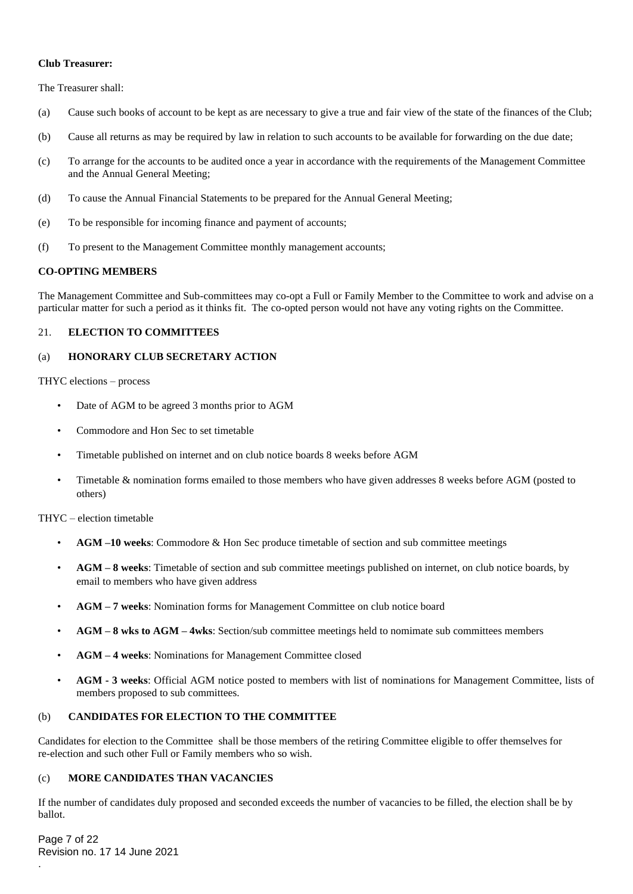#### **Club Treasurer:**

The Treasurer shall:

- (a) Cause such books of account to be kept as are necessary to give a true and fair view of the state of the finances of the Club;
- (b) Cause all returns as may be required by law in relation to such accounts to be available for forwarding on the due date;
- (c) To arrange for the accounts to be audited once a year in accordance with the requirements of the Management Committee and the Annual General Meeting;
- (d) To cause the Annual Financial Statements to be prepared for the Annual General Meeting;
- (e) To be responsible for incoming finance and payment of accounts;
- (f) To present to the Management Committee monthly management accounts;

### **CO-OPTING MEMBERS**

The Management Committee and Sub-committees may co-opt a Full or Family Member to the Committee to work and advise on a particular matter for such a period as it thinks fit. The co-opted person would not have any voting rights on the Committee.

# 21. **ELECTION TO COMMITTEES**

## (a) **HONORARY CLUB SECRETARY ACTION**

#### THYC elections – process

- Date of AGM to be agreed 3 months prior to AGM
- Commodore and Hon Sec to set timetable
- Timetable published on internet and on club notice boards 8 weeks before AGM
- Timetable & nomination forms emailed to those members who have given addresses 8 weeks before AGM (posted to others)

THYC – election timetable

- **AGM –10 weeks**: Commodore & Hon Sec produce timetable of section and sub committee meetings
- **AGM – 8 weeks**: Timetable of section and sub committee meetings published on internet, on club notice boards, by email to members who have given address
- **AGM – 7 weeks**: Nomination forms for Management Committee on club notice board
- **AGM – 8 wks to AGM – 4wks**: Section/sub committee meetings held to nomimate sub committees members
- **AGM – 4 weeks**: Nominations for Management Committee closed
- • **AGM - 3 weeks**: Official AGM notice posted to members with list of nominations for Management Committee, lists of members proposed to sub committees.

# (b) **CANDIDATES FOR ELECTION TO THE COMMITTEE**

Candidates for election to the Committee shall be those members of the retiring Committee eligible to offer themselves for re-election and such other Full or Family members who so wish.

# (c) **MORE CANDIDATES THAN VACANCIES**

If the number of candidates duly proposed and seconded exceeds the number of vacancies to be filled, the election shall be by ballot.

Page 7 of 22 Revision no. 17 14 June 2021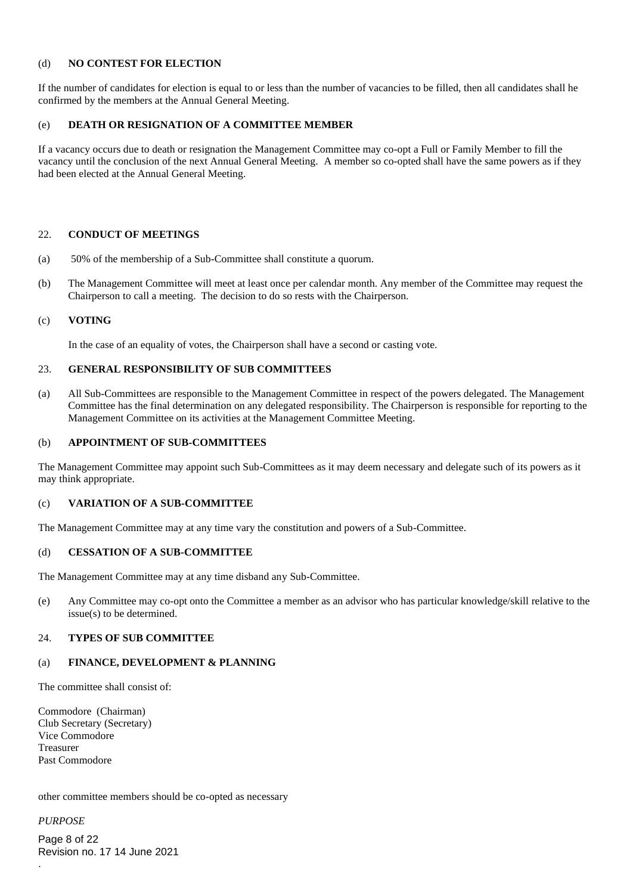# (d) **NO CONTEST FOR ELECTION**

If the number of candidates for election is equal to or less than the number of vacancies to be filled, then all candidates shall he confirmed by the members at the Annual General Meeting.

#### (e) **DEATH OR RESIGNATION OF A COMMITTEE MEMBER**

If a vacancy occurs due to death or resignation the Management Committee may co-opt a Full or Family Member to fill the vacancy until the conclusion of the next Annual General Meeting. A member so co-opted shall have the same powers as if they had been elected at the Annual General Meeting.

#### 22. **CONDUCT OF MEETINGS**

- (a) 50% of the membership of a Sub-Committee shall constitute a quorum.
- (b) The Management Committee will meet at least once per calendar month. Any member of the Committee may request the Chairperson to call a meeting. The decision to do so rests with the Chairperson.

# (c) **VOTING**

In the case of an equality of votes, the Chairperson shall have a second or casting vote.

#### 23. **GENERAL RESPONSIBILITY OF SUB COMMITTEES**

(a) All Sub-Committees are responsible to the Management Committee in respect of the powers delegated. The Management Committee has the final determination on any delegated responsibility. The Chairperson is responsible for reporting to the Management Committee on its activities at the Management Committee Meeting.

#### (b) **APPOINTMENT OF SUB-COMMITTEES**

The Management Committee may appoint such Sub-Committees as it may deem necessary and delegate such of its powers as it may think appropriate.

### (c) **VARIATION OF A SUB-COMMITTEE**

The Management Committee may at any time vary the constitution and powers of a Sub-Committee.

#### (d) **CESSATION OF A SUB-COMMITTEE**

The Management Committee may at any time disband any Sub-Committee.

(e) Any Committee may co-opt onto the Committee a member as an advisor who has particular knowledge/skill relative to the issue(s) to be determined.

#### 24. **TYPES OF SUB COMMITTEE**

#### (a) **FINANCE, DEVELOPMENT & PLANNING**

The committee shall consist of:

Commodore (Chairman) Club Secretary (Secretary) Vice Commodore Treasurer Past Commodore

other committee members should be co-opted as necessary

*PURPOSE*

.

Page 8 of 22 Revision no. 17 14 June 2021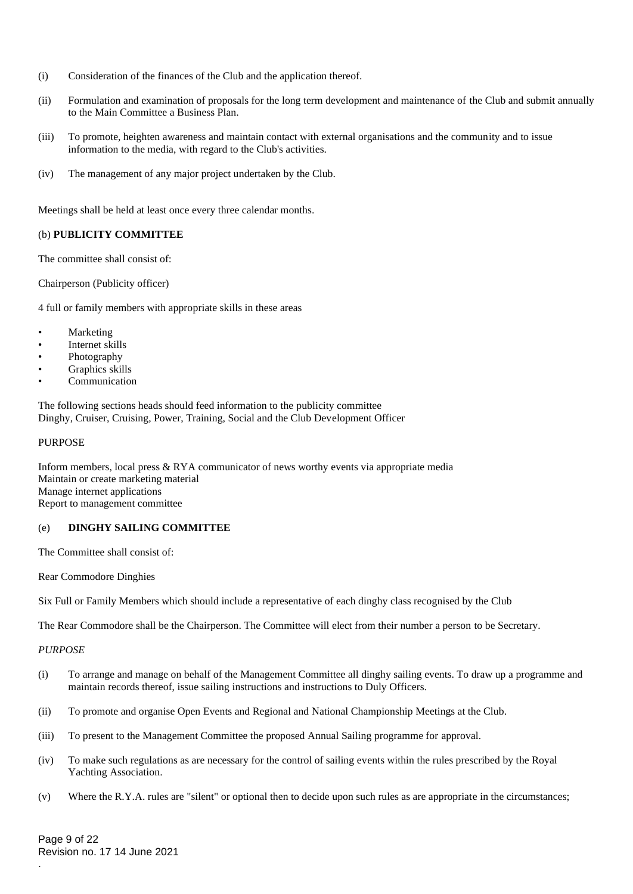- (i) Consideration of the finances of the Club and the application thereof.
- (ii) Formulation and examination of proposals for the long term development and maintenance of the Club and submit annually to the Main Committee a Business Plan.
- (iii) To promote, heighten awareness and maintain contact with external organisations and the community and to issue information to the media, with regard to the Club's activities.
- (iv) The management of any major project undertaken by the Club.

Meetings shall be held at least once every three calendar months.

# (b) **PUBLICITY COMMITTEE**

The committee shall consist of:

Chairperson (Publicity officer)

4 full or family members with appropriate skills in these areas

- **Marketing**
- Internet skills
- Photography
- Graphics skills
- **Communication**

The following sections heads should feed information to the publicity committee Dinghy, Cruiser, Cruising, Power, Training, Social and the Club Development Officer

#### PURPOSE

Inform members, local press & RYA communicator of news worthy events via appropriate media Maintain or create marketing material Manage internet applications Report to management committee

# (e) **DINGHY SAILING COMMITTEE**

The Committee shall consist of:

Rear Commodore Dinghies

Six Full or Family Members which should include a representative of each dinghy class recognised by the Club

The Rear Commodore shall be the Chairperson. The Committee will elect from their number a person to be Secretary.

### *PURPOSE*

- (i) To arrange and manage on behalf of the Management Committee all dinghy sailing events. To draw up a programme and maintain records thereof, issue sailing instructions and instructions to Duly Officers.
- (ii) To promote and organise Open Events and Regional and National Championship Meetings at the Club.
- (iii) To present to the Management Committee the proposed Annual Sailing programme for approval.
- (iv) To make such regulations as are necessary for the control of sailing events within the rules prescribed by the Royal Yachting Association.
- (v) Where the R.Y.A. rules are "silent" or optional then to decide upon such rules as are appropriate in the circumstances;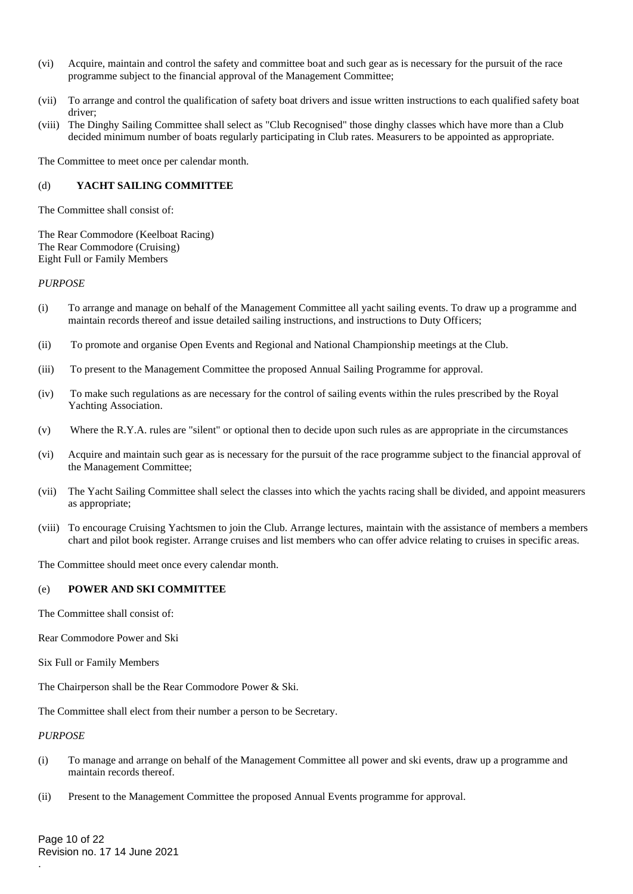- (vi) Acquire, maintain and control the safety and committee boat and such gear as is necessary for the pursuit of the race programme subject to the financial approval of the Management Committee;
- (vii) To arrange and control the qualification of safety boat drivers and issue written instructions to each qualified safety boat driver;
- (viii) The Dinghy Sailing Committee shall select as "Club Recognised" those dinghy classes which have more than a Club decided minimum number of boats regularly participating in Club rates. Measurers to be appointed as appropriate.

The Committee to meet once per calendar month.

## (d) **YACHT SAILING COMMITTEE**

The Committee shall consist of:

The Rear Commodore (Keelboat Racing) The Rear Commodore (Cruising) Eight Full or Family Members

#### *PURPOSE*

- (i) To arrange and manage on behalf of the Management Committee all yacht sailing events. To draw up a programme and maintain records thereof and issue detailed sailing instructions, and instructions to Duty Officers;
- (ii) To promote and organise Open Events and Regional and National Championship meetings at the Club.
- (iii) To present to the Management Committee the proposed Annual Sailing Programme for approval.
- (iv) To make such regulations as are necessary for the control of sailing events within the rules prescribed by the Royal Yachting Association.
- (v) Where the R.Y.A. rules are "silent" or optional then to decide upon such rules as are appropriate in the circumstances
- (vi) Acquire and maintain such gear as is necessary for the pursuit of the race programme subject to the financial approval of the Management Committee;
- (vii) The Yacht Sailing Committee shall select the classes into which the yachts racing shall be divided, and appoint measurers as appropriate;
- (viii) To encourage Cruising Yachtsmen to join the Club. Arrange lectures, maintain with the assistance of members a members chart and pilot book register. Arrange cruises and list members who can offer advice relating to cruises in specific areas.

The Committee should meet once every calendar month.

### (e) **POWER AND SKI COMMITTEE**

The Committee shall consist of:

- Rear Commodore Power and Ski
- Six Full or Family Members

The Chairperson shall be the Rear Commodore Power & Ski.

The Committee shall elect from their number a person to be Secretary.

#### *PURPOSE*

.

- (i) To manage and arrange on behalf of the Management Committee all power and ski events, draw up a programme and maintain records thereof.
- (ii) Present to the Management Committee the proposed Annual Events programme for approval.

Page 10 of 22 Revision no. 17 14 June 2021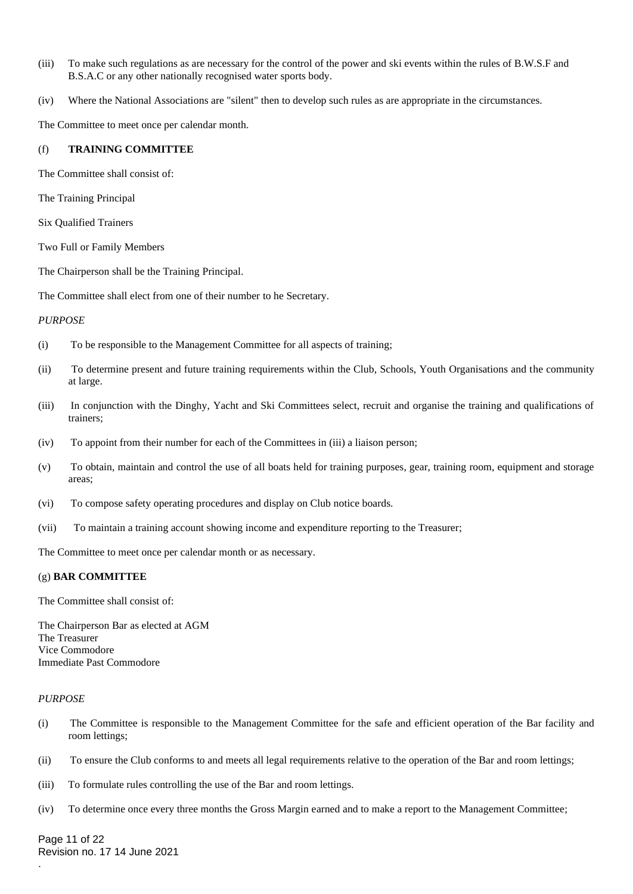- (iii) To make such regulations as are necessary for the control of the power and ski events within the rules of B.W.S.F and B.S.A.C or any other nationally recognised water sports body.
- (iv) Where the National Associations are "silent" then to develop such rules as are appropriate in the circumstances.

The Committee to meet once per calendar month.

#### (f) **TRAINING COMMITTEE**

The Committee shall consist of:

The Training Principal

Six Qualified Trainers

Two Full or Family Members

The Chairperson shall be the Training Principal.

The Committee shall elect from one of their number to he Secretary.

### *PURPOSE*

- (i) To be responsible to the Management Committee for all aspects of training;
- (ii) To determine present and future training requirements within the Club, Schools, Youth Organisations and the community at large.
- (iii) In conjunction with the Dinghy, Yacht and Ski Committees select, recruit and organise the training and qualifications of trainers;
- (iv) To appoint from their number for each of the Committees in (iii) a liaison person;
- (v) To obtain, maintain and control the use of all boats held for training purposes, gear, training room, equipment and storage areas;
- (vi) To compose safety operating procedures and display on Club notice boards.
- (vii) To maintain a training account showing income and expenditure reporting to the Treasurer;

The Committee to meet once per calendar month or as necessary.

#### (g) **BAR COMMITTEE**

The Committee shall consist of:

The Chairperson Bar as elected at AGM The Treasurer Vice Commodore Immediate Past Commodore

#### *PURPOSE*

.

- (i) The Committee is responsible to the Management Committee for the safe and efficient operation of the Bar facility and room lettings;
- (ii) To ensure the Club conforms to and meets all legal requirements relative to the operation of the Bar and room lettings;
- (iii) To formulate rules controlling the use of the Bar and room lettings.
- (iv) To determine once every three months the Gross Margin earned and to make a report to the Management Committee;

Page 11 of 22 Revision no. 17 14 June 2021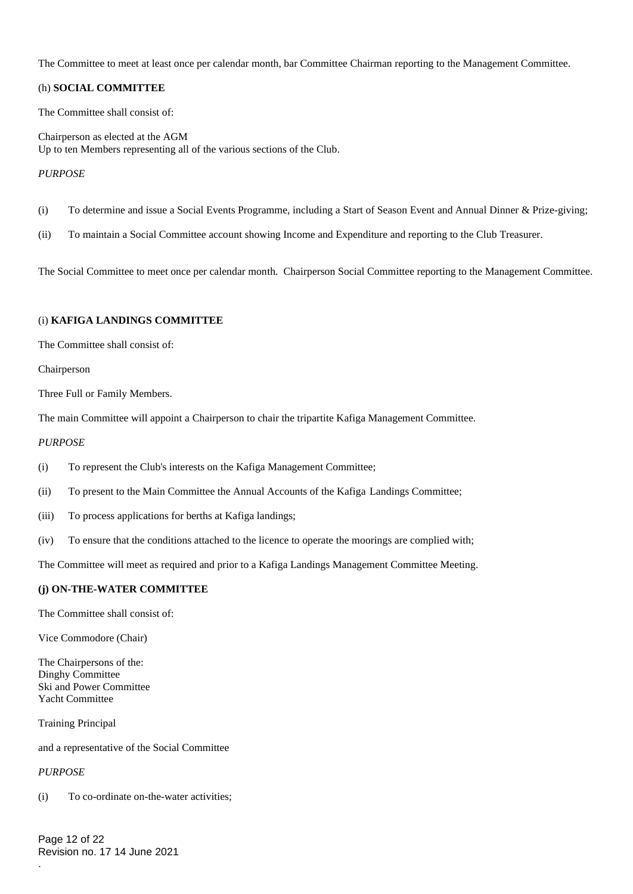The Committee to meet at least once per calendar month, bar Committee Chairman reporting to the Management Committee.

# (h) **SOCIAL COMMITTEE**

The Committee shall consist of:

Chairperson as elected at the AGM Up to ten Members representing all of the various sections of the Club.

## *PURPOSE*

- (i) To determine and issue a Social Events Programme, including a Start of Season Event and Annual Dinner & Prize-giving;
- (ii) To maintain a Social Committee account showing Income and Expenditure and reporting to the Club Treasurer.

The Social Committee to meet once per calendar month. Chairperson Social Committee reporting to the Management Committee.

#### (i) **KAFIGA LANDINGS COMMITTEE**

The Committee shall consist of:

Chairperson

Three Full or Family Members.

The main Committee will appoint a Chairperson to chair the tripartite Kafiga Management Committee.

#### *PURPOSE*

- (i) To represent the Club's interests on the Kafiga Management Committee;
- (ii) To present to the Main Committee the Annual Accounts of the Kafiga Landings Committee;
- (iii) To process applications for berths at Kafiga landings;
- (iv) To ensure that the conditions attached to the licence to operate the moorings are complied with;

The Committee will meet as required and prior to a Kafiga Landings Management Committee Meeting.

### **(j) ON-THE-WATER COMMITTEE**

The Committee shall consist of:

Vice Commodore (Chair)

The Chairpersons of the: Dinghy Committee Ski and Power Committee Yacht Committee

Training Principal

and a representative of the Social Committee

*PURPOSE*

.

(i) To co-ordinate on-the-water activities;

Page 12 of 22 Revision no. 17 14 June 2021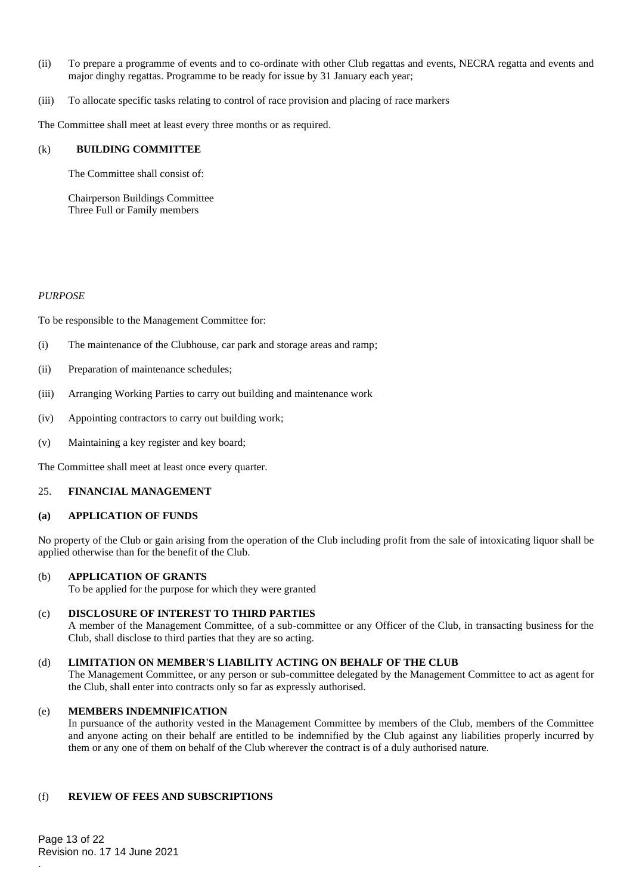- (ii) To prepare a programme of events and to co-ordinate with other Club regattas and events, NECRA regatta and events and major dinghy regattas. Programme to be ready for issue by 31 January each year;
- (iii) To allocate specific tasks relating to control of race provision and placing of race markers

The Committee shall meet at least every three months or as required.

#### (k) **BUILDING COMMITTEE**

The Committee shall consist of:

Chairperson Buildings Committee Three Full or Family members

#### *PURPOSE*

To be responsible to the Management Committee for:

- (i) The maintenance of the Clubhouse, car park and storage areas and ramp;
- (ii) Preparation of maintenance schedules;
- (iii) Arranging Working Parties to carry out building and maintenance work
- (iv) Appointing contractors to carry out building work;
- (v) Maintaining a key register and key board;

The Committee shall meet at least once every quarter.

### 25. **FINANCIAL MANAGEMENT**

# **(a) APPLICATION OF FUNDS**

No property of the Club or gain arising from the operation of the Club including profit from the sale of intoxicating liquor shall be applied otherwise than for the benefit of the Club.

### (b) **APPLICATION OF GRANTS**

To be applied for the purpose for which they were granted

#### (c) **DISCLOSURE OF INTEREST TO THIRD PARTIES**

A member of the Management Committee, of a sub-committee or any Officer of the Club, in transacting business for the Club, shall disclose to third parties that they are so acting.

## (d) **LIMITATION ON MEMBER'S LIABILITY ACTING ON BEHALF OF THE CLUB**

The Management Committee, or any person or sub-committee delegated by the Management Committee to act as agent for the Club, shall enter into contracts only so far as expressly authorised.

### (e) **MEMBERS INDEMNIFICATION**

In pursuance of the authority vested in the Management Committee by members of the Club, members of the Committee and anyone acting on their behalf are entitled to be indemnified by the Club against any liabilities properly incurred by them or any one of them on behalf of the Club wherever the contract is of a duly authorised nature.

### (f) **REVIEW OF FEES AND SUBSCRIPTIONS**

Page 13 of 22 Revision no. 17 14 June 2021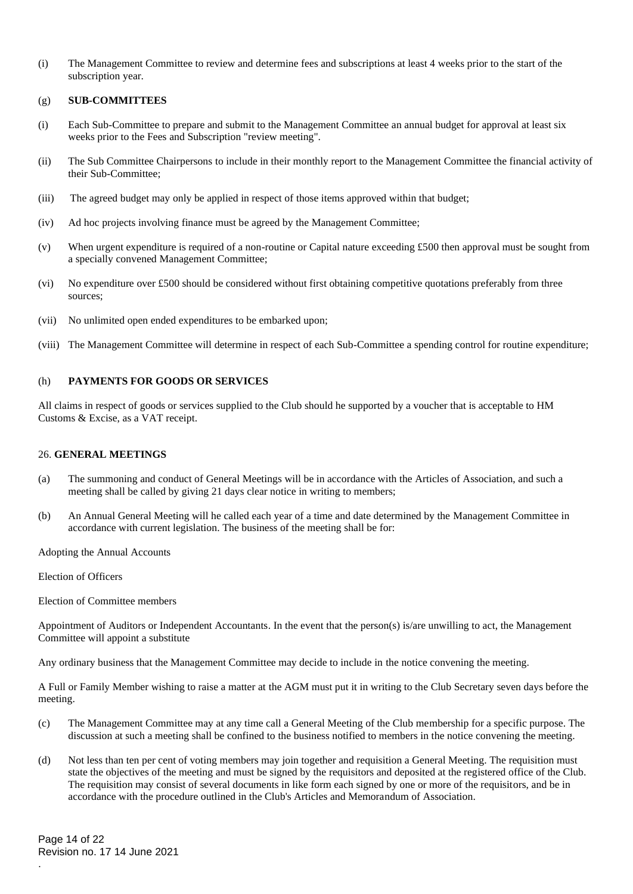(i) The Management Committee to review and determine fees and subscriptions at least 4 weeks prior to the start of the subscription year.

# (g) **SUB-COMMITTEES**

- (i) Each Sub-Committee to prepare and submit to the Management Committee an annual budget for approval at least six weeks prior to the Fees and Subscription "review meeting".
- (ii) The Sub Committee Chairpersons to include in their monthly report to the Management Committee the financial activity of their Sub-Committee;
- (iii) The agreed budget may only be applied in respect of those items approved within that budget;
- (iv) Ad hoc projects involving finance must be agreed by the Management Committee;
- (v) When urgent expenditure is required of a non-routine or Capital nature exceeding £500 then approval must be sought from a specially convened Management Committee;
- (vi) No expenditure over £500 should be considered without first obtaining competitive quotations preferably from three sources;
- (vii) No unlimited open ended expenditures to be embarked upon;
- (viii) The Management Committee will determine in respect of each Sub-Committee a spending control for routine expenditure;

### (h) **PAYMENTS FOR GOODS OR SERVICES**

All claims in respect of goods or services supplied to the Club should he supported by a voucher that is acceptable to HM Customs & Excise, as a VAT receipt.

#### 26. **GENERAL MEETINGS**

- (a) The summoning and conduct of General Meetings will be in accordance with the Articles of Association, and such a meeting shall be called by giving 21 days clear notice in writing to members;
- (b) An Annual General Meeting will he called each year of a time and date determined by the Management Committee in accordance with current legislation. The business of the meeting shall be for:

Adopting the Annual Accounts

Election of Officers

Election of Committee members

Appointment of Auditors or Independent Accountants. In the event that the person(s) is/are unwilling to act, the Management Committee will appoint a substitute

Any ordinary business that the Management Committee may decide to include in the notice convening the meeting.

A Full or Family Member wishing to raise a matter at the AGM must put it in writing to the Club Secretary seven days before the meeting.

- (c) The Management Committee may at any time call a General Meeting of the Club membership for a specific purpose. The discussion at such a meeting shall be confined to the business notified to members in the notice convening the meeting.
- (d) Not less than ten per cent of voting members may join together and requisition a General Meeting. The requisition must state the objectives of the meeting and must be signed by the requisitors and deposited at the registered office of the Club. The requisition may consist of several documents in like form each signed by one or more of the requisitors, and be in accordance with the procedure outlined in the Club's Articles and Memorandum of Association.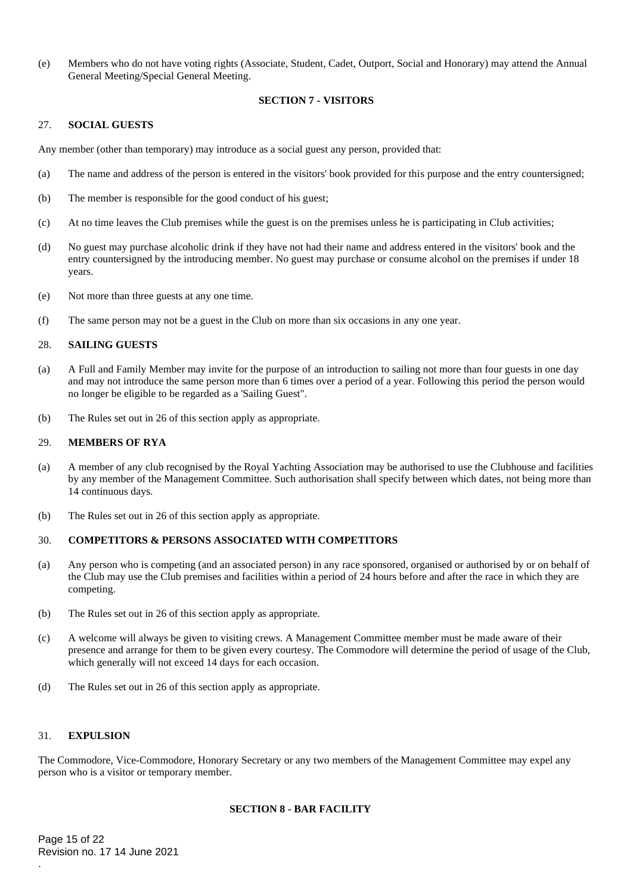(e) Members who do not have voting rights (Associate, Student, Cadet, Outport, Social and Honorary) may attend the Annual General Meeting/Special General Meeting.

# **SECTION 7 - VISITORS**

#### 27. **SOCIAL GUESTS**

Any member (other than temporary) may introduce as a social guest any person, provided that:

- (a) The name and address of the person is entered in the visitors' book provided for this purpose and the entry countersigned;
- (b) The member is responsible for the good conduct of his guest;
- (c) At no time leaves the Club premises while the guest is on the premises unless he is participating in Club activities;
- (d) No guest may purchase alcoholic drink if they have not had their name and address entered in the visitors' book and the entry countersigned by the introducing member. No guest may purchase or consume alcohol on the premises if under 18 years.
- (e) Not more than three guests at any one time.
- (f) The same person may not be a guest in the Club on more than six occasions in any one year.

### 28. **SAILING GUESTS**

- (a) A Full and Family Member may invite for the purpose of an introduction to sailing not more than four guests in one day and may not introduce the same person more than 6 times over a period of a year. Following this period the person would no longer be eligible to be regarded as a 'Sailing Guest".
- (b) The Rules set out in 26 of this section apply as appropriate.

#### 29. **MEMBERS OF RYA**

- (a) A member of any club recognised by the Royal Yachting Association may be authorised to use the Clubhouse and facilities by any member of the Management Committee. Such authorisation shall specify between which dates, not being more than 14 continuous days.
- (b) The Rules set out in 26 of this section apply as appropriate.

#### 30. **COMPETITORS & PERSONS ASSOCIATED WITH COMPETITORS**

- (a) Any person who is competing (and an associated person) in any race sponsored, organised or authorised by or on behalf of the Club may use the Club premises and facilities within a period of 24 hours before and after the race in which they are competing.
- (b) The Rules set out in 26 of this section apply as appropriate.
- (c) A welcome will always be given to visiting crews. A Management Committee member must be made aware of their presence and arrange for them to be given every courtesy. The Commodore will determine the period of usage of the Club, which generally will not exceed 14 days for each occasion.
- (d) The Rules set out in 26 of this section apply as appropriate.

### 31. **EXPULSION**

.

The Commodore, Vice-Commodore, Honorary Secretary or any two members of the Management Committee may expel any person who is a visitor or temporary member.

# **SECTION 8 - BAR FACILITY**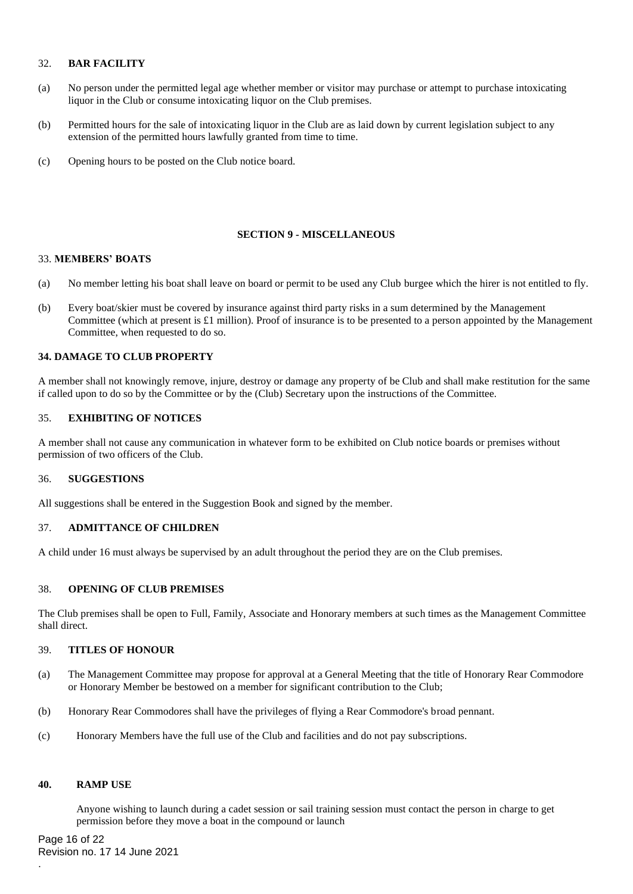# 32. **BAR FACILITY**

- (a) No person under the permitted legal age whether member or visitor may purchase or attempt to purchase intoxicating liquor in the Club or consume intoxicating liquor on the Club premises.
- (b) Permitted hours for the sale of intoxicating liquor in the Club are as laid down by current legislation subject to any extension of the permitted hours lawfully granted from time to time.
- (c) Opening hours to be posted on the Club notice board.

# **SECTION 9 - MISCELLANEOUS**

### 33. **MEMBERS' BOATS**

- (a) No member letting his boat shall leave on board or permit to be used any Club burgee which the hirer is not entitled to fly.
- (b) Every boat/skier must be covered by insurance against third party risks in a sum determined by the Management Committee (which at present is £1 million). Proof of insurance is to be presented to a person appointed by the Management Committee, when requested to do so.

### **34. DAMAGE TO CLUB PROPERTY**

A member shall not knowingly remove, injure, destroy or damage any property of be Club and shall make restitution for the same if called upon to do so by the Committee or by the (Club) Secretary upon the instructions of the Committee.

# 35. **EXHIBITING OF NOTICES**

A member shall not cause any communication in whatever form to be exhibited on Club notice boards or premises without permission of two officers of the Club.

### 36. **SUGGESTIONS**

All suggestions shall be entered in the Suggestion Book and signed by the member.

# 37. **ADMITTANCE OF CHILDREN**

A child under 16 must always be supervised by an adult throughout the period they are on the Club premises.

# 38. **OPENING OF CLUB PREMISES**

The Club premises shall be open to Full, Family, Associate and Honorary members at such times as the Management Committee shall direct.

### 39. **TITLES OF HONOUR**

- (a) The Management Committee may propose for approval at a General Meeting that the title of Honorary Rear Commodore or Honorary Member be bestowed on a member for significant contribution to the Club;
- (b) Honorary Rear Commodores shall have the privileges of flying a Rear Commodore's broad pennant.
- (c) Honorary Members have the full use of the Club and facilities and do not pay subscriptions.

#### **40. RAMP USE**

Anyone wishing to launch during a cadet session or sail training session must contact the person in charge to get permission before they move a boat in the compound or launch

Page 16 of 22 Revision no. 17 14 June 2021 .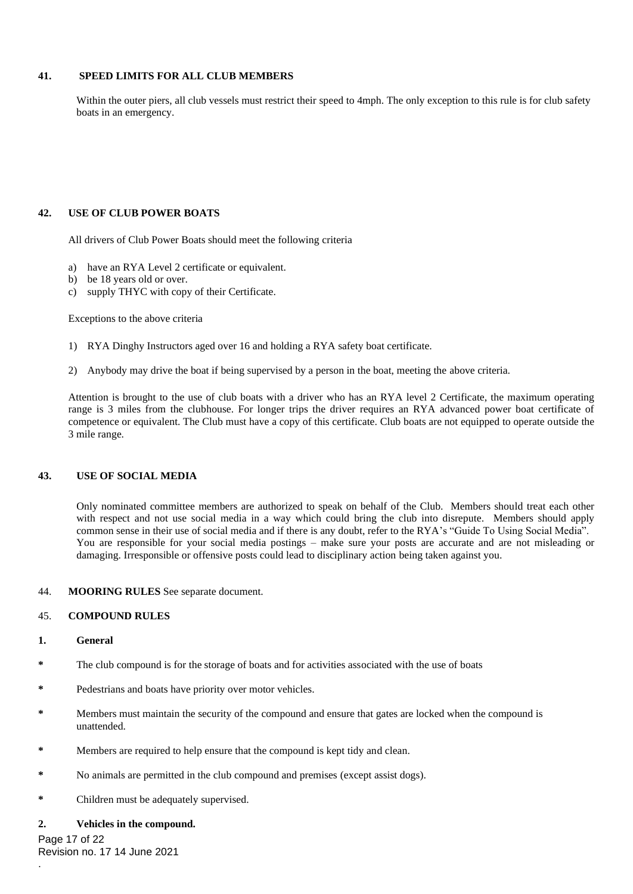# **41. SPEED LIMITS FOR ALL CLUB MEMBERS**

Within the outer piers, all club vessels must restrict their speed to 4mph. The only exception to this rule is for club safety boats in an emergency.

# **42. USE OF CLUB POWER BOATS**

All drivers of Club Power Boats should meet the following criteria

- a) have an RYA Level 2 certificate or equivalent.
- b) be 18 years old or over.
- c) supply THYC with copy of their Certificate.

Exceptions to the above criteria

- 1) RYA Dinghy Instructors aged over 16 and holding a RYA safety boat certificate.
- 2) Anybody may drive the boat if being supervised by a person in the boat, meeting the above criteria.

Attention is brought to the use of club boats with a driver who has an RYA level 2 Certificate, the maximum operating range is 3 miles from the clubhouse. For longer trips the driver requires an RYA advanced power boat certificate of competence or equivalent. The Club must have a copy of this certificate. Club boats are not equipped to operate outside the 3 mile range.

## **43. USE OF SOCIAL MEDIA**

Only nominated committee members are authorized to speak on behalf of the Club. Members should treat each other with respect and not use social media in a way which could bring the club into disrepute. Members should apply common sense in their use of social media and if there is any doubt, refer to the RYA's "Guide To Using Social Media". You are responsible for your social media postings – make sure your posts are accurate and are not misleading or damaging. Irresponsible or offensive posts could lead to disciplinary action being taken against you.

#### 44. **MOORING RULES** See separate document.

### 45. **COMPOUND RULES**

#### **1. General**

- **\*** The club compound is for the storage of boats and for activities associated with the use of boats
- Pedestrians and boats have priority over motor vehicles.
- **\*** Members must maintain the security of the compound and ensure that gates are locked when the compound is unattended.
- **\*** Members are required to help ensure that the compound is kept tidy and clean.
- **\*** No animals are permitted in the club compound and premises (except assist dogs).
- **\*** Children must be adequately supervised.

### **2. Vehicles in the compound.**

Page 17 of 22 Revision no. 17 14 June 2021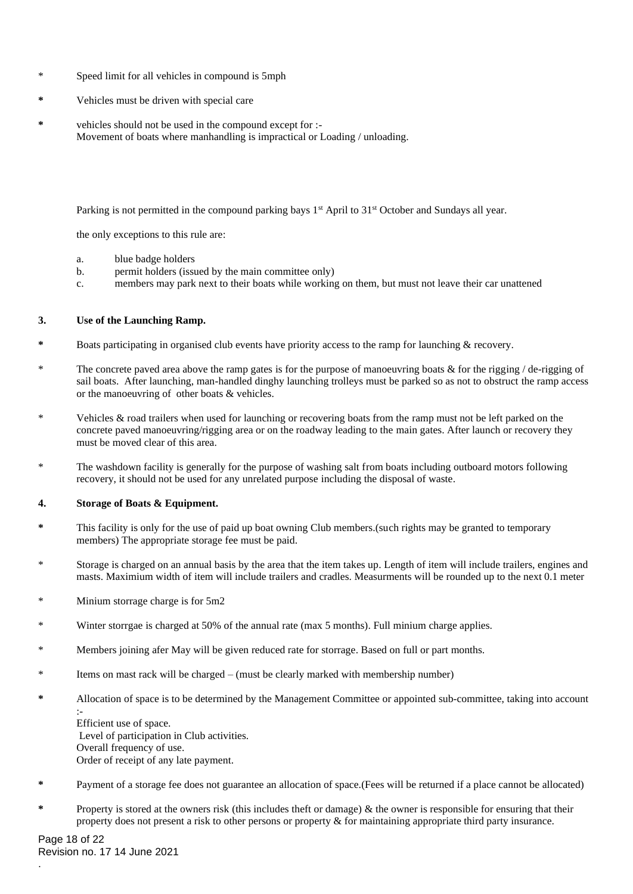- Speed limit for all vehicles in compound is 5mph
- **\*** Vehicles must be driven with special care
- **\*** vehicles should not be used in the compound except for :- Movement of boats where manhandling is impractical or Loading / unloading.

Parking is not permitted in the compound parking bays 1<sup>st</sup> April to 31<sup>st</sup> October and Sundays all year.

the only exceptions to this rule are:

- a. blue badge holders
- b. permit holders (issued by the main committee only)
- c. members may park next to their boats while working on them, but must not leave their car unattened

# **3. Use of the Launching Ramp.**

- Boats participating in organised club events have priority access to the ramp for launching & recovery.
- The concrete paved area above the ramp gates is for the purpose of manoeuvring boats  $\&$  for the rigging / de-rigging of sail boats. After launching, man-handled dinghy launching trolleys must be parked so as not to obstruct the ramp access or the manoeuvring of other boats & vehicles.
- \* Vehicles & road trailers when used for launching or recovering boats from the ramp must not be left parked on the concrete paved manoeuvring/rigging area or on the roadway leading to the main gates. After launch or recovery they must be moved clear of this area.
- \* The washdown facility is generally for the purpose of washing salt from boats including outboard motors following recovery, it should not be used for any unrelated purpose including the disposal of waste.

### **4. Storage of Boats & Equipment.**

- **\*** This facility is only for the use of paid up boat owning Club members.(such rights may be granted to temporary members) The appropriate storage fee must be paid.
- Storage is charged on an annual basis by the area that the item takes up. Length of item will include trailers, engines and masts. Maximium width of item will include trailers and cradles. Measurments will be rounded up to the next 0.1 meter
- \* Minium storrage charge is for 5m2
- \* Winter storrgae is charged at 50% of the annual rate (max 5 months). Full minium charge applies.
- \* Members joining afer May will be given reduced rate for storrage. Based on full or part months.
- \* Items on mast rack will be charged (must be clearly marked with membership number)
- **\*** Allocation of space is to be determined by the Management Committee or appointed sub-committee, taking into account :-

 Efficient use of space. Level of participation in Club activities. Overall frequency of use. Order of receipt of any late payment.

- **\*** Payment of a storage fee does not guarantee an allocation of space.(Fees will be returned if a place cannot be allocated)
- **\*** Property is stored at the owners risk (this includes theft or damage) & the owner is responsible for ensuring that their property does not present a risk to other persons or property & for maintaining appropriate third party insurance.

Page 18 of 22 Revision no. 17 14 June 2021 .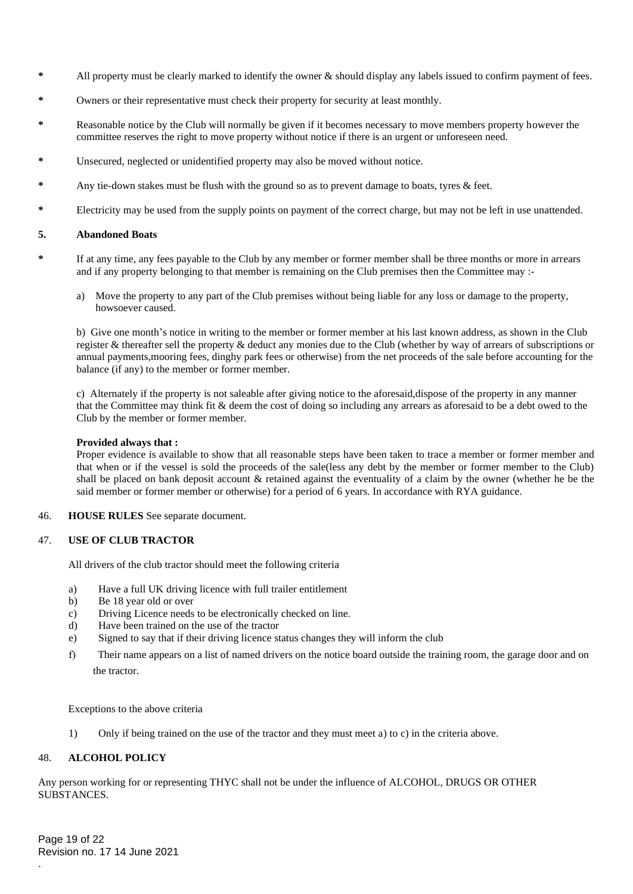- **\*** All property must be clearly marked to identify the owner & should display any labels issued to confirm payment of fees.
- **\*** Owners or their representative must check their property for security at least monthly.
- **\*** Reasonable notice by the Club will normally be given if it becomes necessary to move members property however the committee reserves the right to move property without notice if there is an urgent or unforeseen need.
- **\*** Unsecured, neglected or unidentified property may also be moved without notice.
- **\*** Any tie-down stakes must be flush with the ground so as to prevent damage to boats, tyres & feet.
- **\*** Electricity may be used from the supply points on payment of the correct charge, but may not be left in use unattended.

### **5. Abandoned Boats**

- **\*** If at any time, any fees payable to the Club by any member or former member shall be three months or more in arrears and if any property belonging to that member is remaining on the Club premises then the Committee may :
	- a) Move the property to any part of the Club premises without being liable for any loss or damage to the property, howsoever caused.

b) Give one month's notice in writing to the member or former member at his last known address, as shown in the Club register & thereafter sell the property & deduct any monies due to the Club (whether by way of arrears of subscriptions or annual payments,mooring fees, dinghy park fees or otherwise) from the net proceeds of the sale before accounting for the balance (if any) to the member or former member.

c) Alternately if the property is not saleable after giving notice to the aforesaid,dispose of the property in any manner that the Committee may think fit & deem the cost of doing so including any arrears as aforesaid to be a debt owed to the Club by the member or former member.

## **Provided always that :**

Proper evidence is available to show that all reasonable steps have been taken to trace a member or former member and that when or if the vessel is sold the proceeds of the sale(less any debt by the member or former member to the Club) shall be placed on bank deposit account & retained against the eventuality of a claim by the owner (whether he be the said member or former member or otherwise) for a period of 6 years. In accordance with RYA guidance.

### 46. **HOUSE RULES** See separate document.

### 47. **USE OF CLUB TRACTOR**

All drivers of the club tractor should meet the following criteria

- a) Have a full UK driving licence with full trailer entitlement
- b) Be 18 year old or over
- c) Driving Licence needs to be electronically checked on line.
- d) Have been trained on the use of the tractor
- e) Signed to say that if their driving licence status changes they will inform the club
- f) Their name appears on a list of named drivers on the notice board outside the training room, the garage door and on the tractor.

Exceptions to the above criteria

1) Only if being trained on the use of the tractor and they must meet a) to c) in the criteria above.

# 48. **ALCOHOL POLICY**

Any person working for or representing THYC shall not be under the influence of ALCOHOL, DRUGS OR OTHER SUBSTANCES.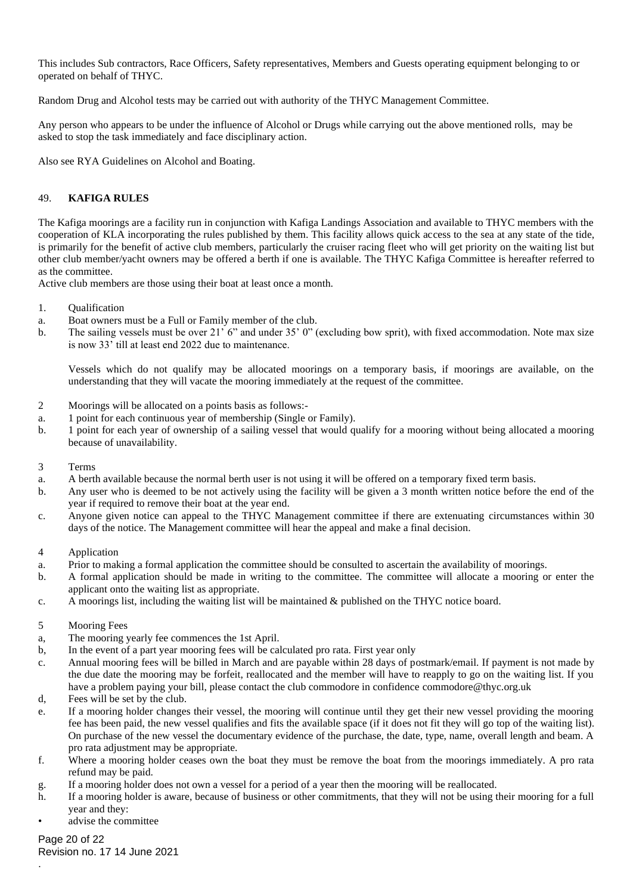This includes Sub contractors, Race Officers, Safety representatives, Members and Guests operating equipment belonging to or operated on behalf of THYC.

Random Drug and Alcohol tests may be carried out with authority of the THYC Management Committee.

Any person who appears to be under the influence of Alcohol or Drugs while carrying out the above mentioned rolls, may be asked to stop the task immediately and face disciplinary action.

Also see RYA Guidelines on Alcohol and Boating.

# 49. **KAFIGA RULES**

The Kafiga moorings are a facility run in conjunction with Kafiga Landings Association and available to THYC members with the cooperation of KLA incorporating the rules published by them. This facility allows quick access to the sea at any state of the tide, is primarily for the benefit of active club members, particularly the cruiser racing fleet who will get priority on the waiting list but other club member/yacht owners may be offered a berth if one is available. The THYC Kafiga Committee is hereafter referred to as the committee.

Active club members are those using their boat at least once a month.

- 1. Qualification
- a. Boat owners must be a Full or Family member of the club.
- b. The sailing vessels must be over 21' 6" and under 35' 0" (excluding bow sprit), with fixed accommodation. Note max size is now 33' till at least end 2022 due to maintenance.

Vessels which do not qualify may be allocated moorings on a temporary basis, if moorings are available, on the understanding that they will vacate the mooring immediately at the request of the committee.

- 2 Moorings will be allocated on a points basis as follows:-
- a. 1 point for each continuous year of membership (Single or Family).
- b. 1 point for each year of ownership of a sailing vessel that would qualify for a mooring without being allocated a mooring because of unavailability.
- 3 Terms
- a. A berth available because the normal berth user is not using it will be offered on a temporary fixed term basis.
- b. Any user who is deemed to be not actively using the facility will be given a 3 month written notice before the end of the year if required to remove their boat at the year end.
- c. Anyone given notice can appeal to the THYC Management committee if there are extenuating circumstances within 30 days of the notice. The Management committee will hear the appeal and make a final decision.
- 4 Application
- a. Prior to making a formal application the committee should be consulted to ascertain the availability of moorings.
- b. A formal application should be made in writing to the committee. The committee will allocate a mooring or enter the applicant onto the waiting list as appropriate.
- c. A moorings list, including the waiting list will be maintained & published on the THYC notice board.
- 5 Mooring Fees
- a, The mooring yearly fee commences the 1st April.
- b, In the event of a part year mooring fees will be calculated pro rata. First year only
- c. Annual mooring fees will be billed in March and are payable within 28 days of postmark/email. If payment is not made by the due date the mooring may be forfeit, reallocated and the member will have to reapply to go on the waiting list. If you have a problem paying your bill, please contact the club commodore in confidence commodore@thyc.org.uk
- d, Fees will be set by the club.
- e. If a mooring holder changes their vessel, the mooring will continue until they get their new vessel providing the mooring fee has been paid, the new vessel qualifies and fits the available space (if it does not fit they will go top of the waiting list). On purchase of the new vessel the documentary evidence of the purchase, the date, type, name, overall length and beam. A pro rata adjustment may be appropriate.
- f. Where a mooring holder ceases own the boat they must be remove the boat from the moorings immediately. A pro rata refund may be paid.
- g. If a mooring holder does not own a vessel for a period of a year then the mooring will be reallocated.
- h. If a mooring holder is aware, because of business or other commitments, that they will not be using their mooring for a full year and they:
- advise the committee

### Page 20 of 22

.

Revision no. 17 14 June 2021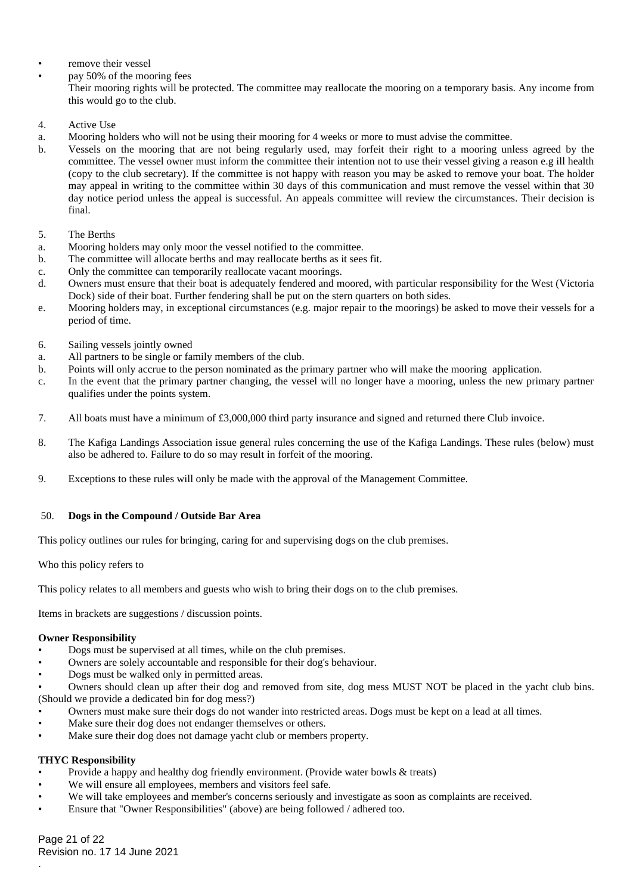- remove their vessel
- pay 50% of the mooring fees

Their mooring rights will be protected. The committee may reallocate the mooring on a temporary basis. Any income from this would go to the club.

- 4. Active Use
- a. Mooring holders who will not be using their mooring for 4 weeks or more to must advise the committee.
- b. Vessels on the mooring that are not being regularly used, may forfeit their right to a mooring unless agreed by the committee. The vessel owner must inform the committee their intention not to use their vessel giving a reason e.g ill health (copy to the club secretary). If the committee is not happy with reason you may be asked to remove your boat. The holder may appeal in writing to the committee within 30 days of this communication and must remove the vessel within that 30 day notice period unless the appeal is successful. An appeals committee will review the circumstances. Their decision is final.
- 5. The Berths
- a. Mooring holders may only moor the vessel notified to the committee.
- b. The committee will allocate berths and may reallocate berths as it sees fit.
- c. Only the committee can temporarily reallocate vacant moorings.
- d. Owners must ensure that their boat is adequately fendered and moored, with particular responsibility for the West (Victoria Dock) side of their boat. Further fendering shall be put on the stern quarters on both sides.
- e. Mooring holders may, in exceptional circumstances (e.g. major repair to the moorings) be asked to move their vessels for a period of time.
- 6. Sailing vessels jointly owned
- a. All partners to be single or family members of the club.
- b. Points will only accrue to the person nominated as the primary partner who will make the mooring application.
- c. In the event that the primary partner changing, the vessel will no longer have a mooring, unless the new primary partner qualifies under the points system.
- 7. All boats must have a minimum of £3,000,000 third party insurance and signed and returned there Club invoice.
- 8. The Kafiga Landings Association issue general rules concerning the use of the Kafiga Landings. These rules (below) must also be adhered to. Failure to do so may result in forfeit of the mooring.
- 9. Exceptions to these rules will only be made with the approval of the Management Committee.

### 50. **Dogs in the Compound / Outside Bar Area**

This policy outlines our rules for bringing, caring for and supervising dogs on the club premises.

Who this policy refers to

This policy relates to all members and guests who wish to bring their dogs on to the club premises.

Items in brackets are suggestions / discussion points.

### **Owner Responsibility**

- Dogs must be supervised at all times, while on the club premises.
- Owners are solely accountable and responsible for their dog's behaviour.
- Dogs must be walked only in permitted areas.

• Owners should clean up after their dog and removed from site, dog mess MUST NOT be placed in the yacht club bins. (Should we provide a dedicated bin for dog mess?)

- Owners must make sure their dogs do not wander into restricted areas. Dogs must be kept on a lead at all times.
- Make sure their dog does not endanger themselves or others.
- Make sure their dog does not damage yacht club or members property.

### **THYC Responsibility**

.

- Provide a happy and healthy dog friendly environment. (Provide water bowls & treats)
- We will ensure all employees, members and visitors feel safe.
- We will take employees and member's concerns seriously and investigate as soon as complaints are received.
- Ensure that "Owner Responsibilities" (above) are being followed / adhered too.

Page 21 of 22 Revision no. 17 14 June 2021